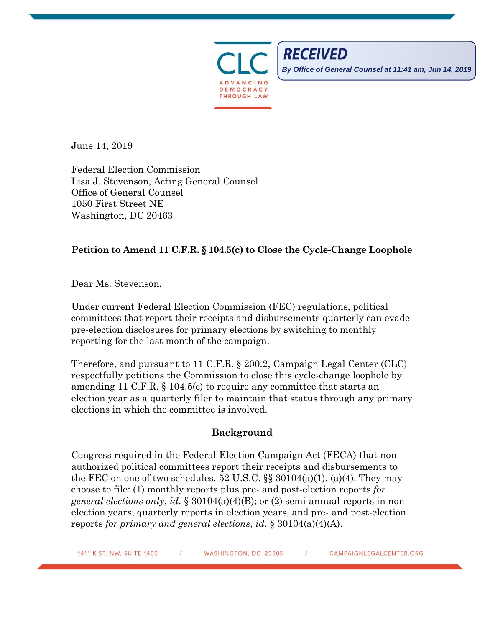

**RECEIVED** 

**By Office of General Counsel at 11:41 am, Jun 14, 2019**

June 14, 2019

Federal Election Commission Lisa J. Stevenson, Acting General Counsel Office of General Counsel 1050 First Street NE Washington, DC 20463

## **Petition to Amend 11 C.F.R. § 104.5(c) to Close the Cycle-Change Loophole**

Dear Ms. Stevenson,

Under current Federal Election Commission (FEC) regulations, political committees that report their receipts and disbursements quarterly can evade pre-election disclosures for primary elections by switching to monthly reporting for the last month of the campaign.

Therefore, and pursuant to 11 C.F.R. § 200.2, Campaign Legal Center (CLC) respectfully petitions the Commission to close this cycle-change loophole by amending 11 C.F.R. § 104.5(c) to require any committee that starts an election year as a quarterly filer to maintain that status through any primary elections in which the committee is involved.

## **Background**

Congress required in the Federal Election Campaign Act (FECA) that nonauthorized political committees report their receipts and disbursements to the FEC on one of two schedules. 52 U.S.C.  $\S$  30104(a)(1), (a)(4). They may choose to file: (1) monthly reports plus pre- and post-election reports *for general elections only*, *id*. § 30104(a)(4)(B); or (2) semi-annual reports in nonelection years, quarterly reports in election years, and pre- and post-election reports *for primary and general elections*, *id*. § 30104(a)(4)(A).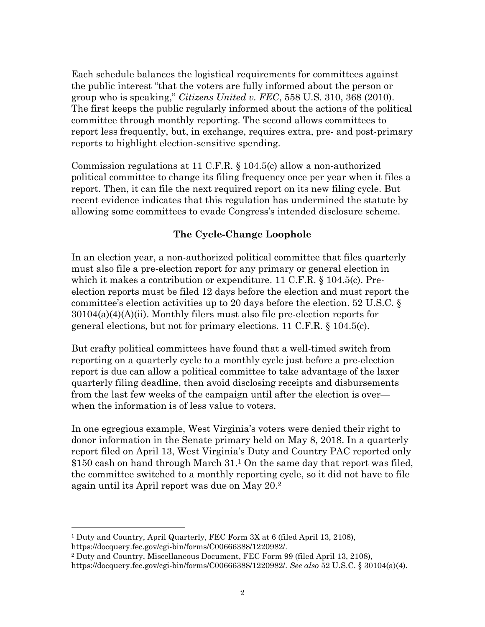Each schedule balances the logistical requirements for committees against the public interest "that the voters are fully informed about the person or group who is speaking," *Citizens United v. FEC*, 558 U.S. 310, 368 (2010). The first keeps the public regularly informed about the actions of the political committee through monthly reporting. The second allows committees to report less frequently, but, in exchange, requires extra, pre- and post-primary reports to highlight election-sensitive spending.

Commission regulations at 11 C.F.R. § 104.5(c) allow a non-authorized political committee to change its filing frequency once per year when it files a report. Then, it can file the next required report on its new filing cycle. But recent evidence indicates that this regulation has undermined the statute by allowing some committees to evade Congress's intended disclosure scheme.

## **The Cycle-Change Loophole**

In an election year, a non-authorized political committee that files quarterly must also file a pre-election report for any primary or general election in which it makes a contribution or expenditure. 11 C.F.R. § 104.5(c). Preelection reports must be filed 12 days before the election and must report the committee's election activities up to 20 days before the election. 52 U.S.C. §  $30104(a)(4)(A)(ii)$ . Monthly filers must also file pre-election reports for general elections, but not for primary elections. 11 C.F.R. § 104.5(c).

But crafty political committees have found that a well-timed switch from reporting on a quarterly cycle to a monthly cycle just before a pre-election report is due can allow a political committee to take advantage of the laxer quarterly filing deadline, then avoid disclosing receipts and disbursements from the last few weeks of the campaign until after the election is over when the information is of less value to voters.

In one egregious example, West Virginia's voters were denied their right to donor information in the Senate primary held on May 8, 2018. In a quarterly report filed on April 13, West Virginia's Duty and Country PAC reported only \$150 cash on hand through March 31. <sup>1</sup> On the same day that report was filed, the committee switched to a monthly reporting cycle, so it did not have to file again until its April report was due on May 20.<sup>2</sup>

l <sup>1</sup> Duty and Country, April Quarterly, FEC Form 3X at 6 (filed April 13, 2108), https://docquery.fec.gov/cgi-bin/forms/C00666388/1220982/.

<sup>2</sup> Duty and Country, Miscellaneous Document, FEC Form 99 (filed April 13, 2108), https://docquery.fec.gov/cgi-bin/forms/C00666388/1220982/. *See also* 52 U.S.C. § 30104(a)(4).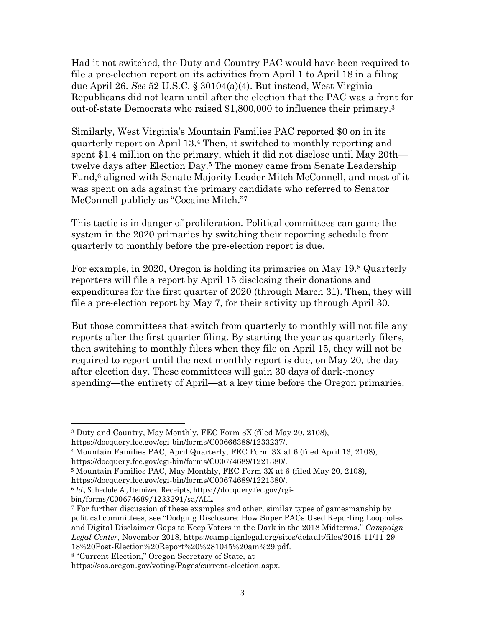Had it not switched, the Duty and Country PAC would have been required to file a pre-election report on its activities from April 1 to April 18 in a filing due April 26. *See* 52 U.S.C. § 30104(a)(4). But instead, West Virginia Republicans did not learn until after the election that the PAC was a front for out-of-state Democrats who raised \$1,800,000 to influence their primary. 3

Similarly, West Virginia's Mountain Families PAC reported \$0 on in its quarterly report on April 13. <sup>4</sup> Then, it switched to monthly reporting and spent \$1.4 million on the primary, which it did not disclose until May 20th twelve days after Election Day.<sup>5</sup> The money came from Senate Leadership Fund, <sup>6</sup> aligned with Senate Majority Leader Mitch McConnell, and most of it was spent on ads against the primary candidate who referred to Senator McConnell publicly as "Cocaine Mitch."<sup>7</sup>

This tactic is in danger of proliferation. Political committees can game the system in the 2020 primaries by switching their reporting schedule from quarterly to monthly before the pre-election report is due.

For example, in 2020, Oregon is holding its primaries on May 19.<sup>8</sup> Quarterly reporters will file a report by April 15 disclosing their donations and expenditures for the first quarter of 2020 (through March 31). Then, they will file a pre-election report by May 7, for their activity up through April 30.

But those committees that switch from quarterly to monthly will not file any reports after the first quarter filing. By starting the year as quarterly filers, then switching to monthly filers when they file on April 15, they will not be required to report until the next monthly report is due, on May 20, the day after election day. These committees will gain 30 days of dark-money spending—the entirety of April—at a key time before the Oregon primaries.

 $\overline{a}$ 

<sup>8</sup> "Current Election," Oregon Secretary of State, at

<sup>3</sup> Duty and Country, May Monthly, FEC Form 3X (filed May 20, 2108),

https://docquery.fec.gov/cgi-bin/forms/C00666388/1233237/.

<sup>4</sup> Mountain Families PAC, April Quarterly, FEC Form 3X at 6 (filed April 13, 2108), https://docquery.fec.gov/cgi-bin/forms/C00674689/1221380/.

<sup>5</sup> Mountain Families PAC, May Monthly, FEC Form 3X at 6 (filed May 20, 2108),

https://docquery.fec.gov/cgi-bin/forms/C00674689/1221380/.

<sup>6</sup> *Id*., Schedule A , Itemized Receipts, https://docquery.fec.gov/cgi-

bin/forms/C00674689/1233291/sa/ALL.

<sup>7</sup> For further discussion of these examples and other, similar types of gamesmanship by political committees, see "Dodging Disclosure: How Super PACs Used Reporting Loopholes and Digital Disclaimer Gaps to Keep Voters in the Dark in the 2018 Midterms," *Campaign Legal Center*, November 2018, https://campaignlegal.org/sites/default/files/2018-11/11-29- 18%20Post-Election%20Report%20%281045%20am%29.pdf.

https://sos.oregon.gov/voting/Pages/current-election.aspx.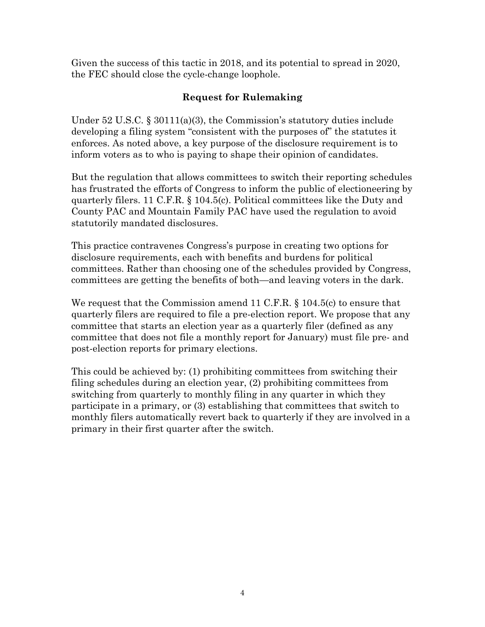Given the success of this tactic in 2018, and its potential to spread in 2020, the FEC should close the cycle-change loophole.

## **Request for Rulemaking**

Under 52 U.S.C. § 30111(a)(3), the Commission's statutory duties include developing a filing system "consistent with the purposes of" the statutes it enforces. As noted above, a key purpose of the disclosure requirement is to inform voters as to who is paying to shape their opinion of candidates.

But the regulation that allows committees to switch their reporting schedules has frustrated the efforts of Congress to inform the public of electioneering by quarterly filers. 11 C.F.R. § 104.5(c). Political committees like the Duty and County PAC and Mountain Family PAC have used the regulation to avoid statutorily mandated disclosures.

This practice contravenes Congress's purpose in creating two options for disclosure requirements, each with benefits and burdens for political committees. Rather than choosing one of the schedules provided by Congress, committees are getting the benefits of both—and leaving voters in the dark.

We request that the Commission amend 11 C.F.R. § 104.5(c) to ensure that quarterly filers are required to file a pre-election report. We propose that any committee that starts an election year as a quarterly filer (defined as any committee that does not file a monthly report for January) must file pre- and post-election reports for primary elections.

This could be achieved by: (1) prohibiting committees from switching their filing schedules during an election year, (2) prohibiting committees from switching from quarterly to monthly filing in any quarter in which they participate in a primary, or (3) establishing that committees that switch to monthly filers automatically revert back to quarterly if they are involved in a primary in their first quarter after the switch.